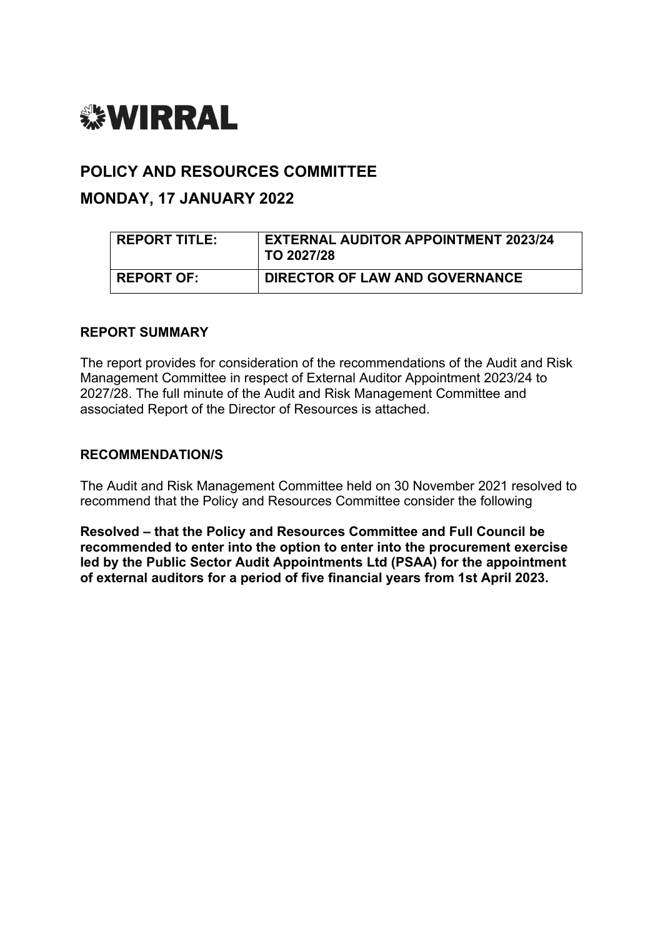# *<b>WIRRAL*

## **POLICY AND RESOURCES COMMITTEE**

# **MONDAY, 17 JANUARY 2022**

| <b>REPORT TITLE:</b> | <b>EXTERNAL AUDITOR APPOINTMENT 2023/24</b><br>$\,^{\shortmid}$ TO 2027/28 |
|----------------------|----------------------------------------------------------------------------|
| <b>REPORT OF:</b>    | DIRECTOR OF LAW AND GOVERNANCE                                             |

## **REPORT SUMMARY**

The report provides for consideration of the recommendations of the Audit and Risk Management Committee in respect of External Auditor Appointment 2023/24 to 2027/28. The full minute of the Audit and Risk Management Committee and associated Report of the Director of Resources is attached.

## **RECOMMENDATION/S**

The Audit and Risk Management Committee held on 30 November 2021 resolved to recommend that the Policy and Resources Committee consider the following

**Resolved – that the Policy and Resources Committee and Full Council be recommended to enter into the option to enter into the procurement exercise led by the Public Sector Audit Appointments Ltd (PSAA) for the appointment of external auditors for a period of five financial years from 1st April 2023.**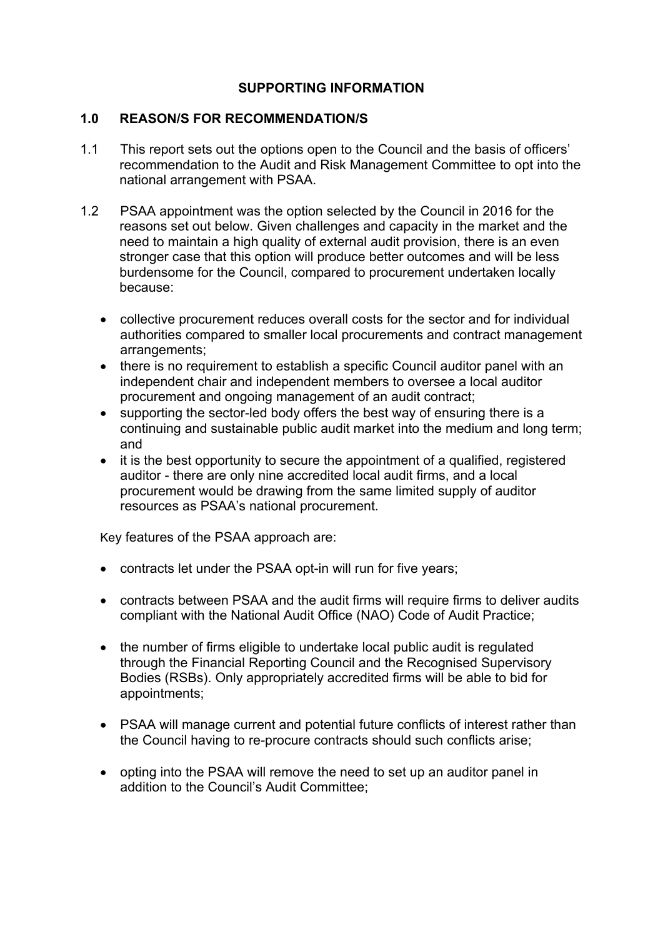## **SUPPORTING INFORMATION**

## **1.0 REASON/S FOR RECOMMENDATION/S**

- 1.1 This report sets out the options open to the Council and the basis of officers' recommendation to the Audit and Risk Management Committee to opt into the national arrangement with PSAA.
- 1.2 PSAA appointment was the option selected by the Council in 2016 for the reasons set out below. Given challenges and capacity in the market and the need to maintain a high quality of external audit provision, there is an even stronger case that this option will produce better outcomes and will be less burdensome for the Council, compared to procurement undertaken locally because:
	- collective procurement reduces overall costs for the sector and for individual authorities compared to smaller local procurements and contract management arrangements;
	- there is no requirement to establish a specific Council auditor panel with an independent chair and independent members to oversee a local auditor procurement and ongoing management of an audit contract;
	- supporting the sector-led body offers the best way of ensuring there is a continuing and sustainable public audit market into the medium and long term; and
	- it is the best opportunity to secure the appointment of a qualified, registered auditor - there are only nine accredited local audit firms, and a local procurement would be drawing from the same limited supply of auditor resources as PSAA's national procurement.

Key features of the PSAA approach are:

- contracts let under the PSAA opt-in will run for five years;
- contracts between PSAA and the audit firms will require firms to deliver audits compliant with the National Audit Office (NAO) Code of Audit Practice;
- the number of firms eligible to undertake local public audit is regulated through the Financial Reporting Council and the Recognised Supervisory Bodies (RSBs). Only appropriately accredited firms will be able to bid for appointments;
- PSAA will manage current and potential future conflicts of interest rather than the Council having to re-procure contracts should such conflicts arise;
- opting into the PSAA will remove the need to set up an auditor panel in addition to the Council's Audit Committee;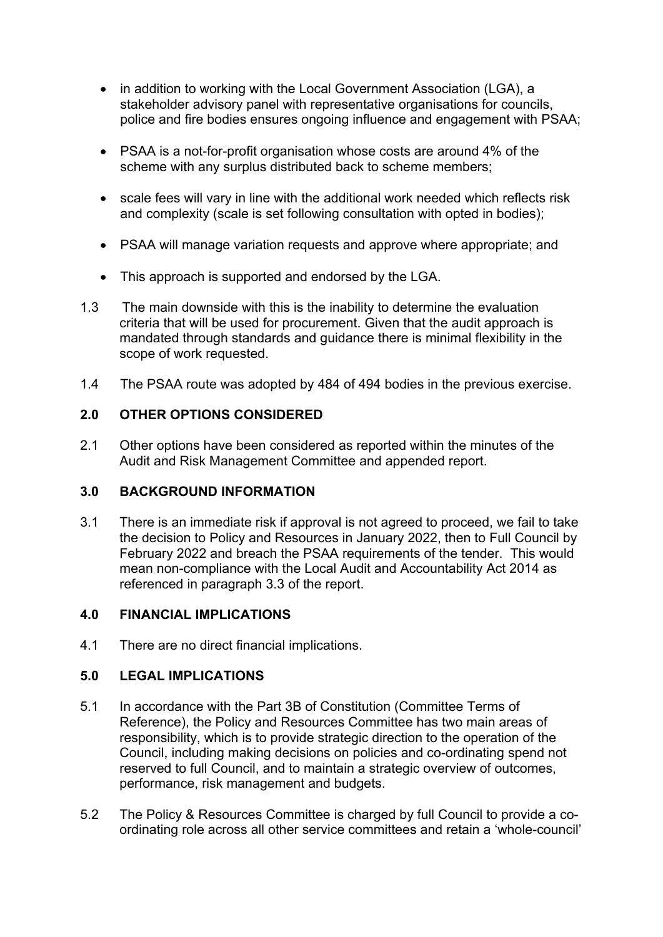- in addition to working with the Local Government Association (LGA), a stakeholder advisory panel with representative organisations for councils, police and fire bodies ensures ongoing influence and engagement with PSAA;
- PSAA is a not-for-profit organisation whose costs are around 4% of the scheme with any surplus distributed back to scheme members;
- scale fees will vary in line with the additional work needed which reflects risk and complexity (scale is set following consultation with opted in bodies);
- PSAA will manage variation requests and approve where appropriate; and
- This approach is supported and endorsed by the LGA.
- 1.3 The main downside with this is the inability to determine the evaluation criteria that will be used for procurement. Given that the audit approach is mandated through standards and guidance there is minimal flexibility in the scope of work requested.
- 1.4 The PSAA route was adopted by 484 of 494 bodies in the previous exercise.

## **2.0 OTHER OPTIONS CONSIDERED**

2.1 Other options have been considered as reported within the minutes of the Audit and Risk Management Committee and appended report.

## **3.0 BACKGROUND INFORMATION**

3.1 There is an immediate risk if approval is not agreed to proceed, we fail to take the decision to Policy and Resources in January 2022, then to Full Council by February 2022 and breach the PSAA requirements of the tender. This would mean non-compliance with the Local Audit and Accountability Act 2014 as referenced in paragraph 3.3 of the report.

## **4.0 FINANCIAL IMPLICATIONS**

4.1 There are no direct financial implications.

## **5.0 LEGAL IMPLICATIONS**

- 5.1 In accordance with the Part 3B of Constitution (Committee Terms of Reference), the Policy and Resources Committee has two main areas of responsibility, which is to provide strategic direction to the operation of the Council, including making decisions on policies and co-ordinating spend not reserved to full Council, and to maintain a strategic overview of outcomes, performance, risk management and budgets.
- 5.2 The Policy & Resources Committee is charged by full Council to provide a coordinating role across all other service committees and retain a 'whole-council'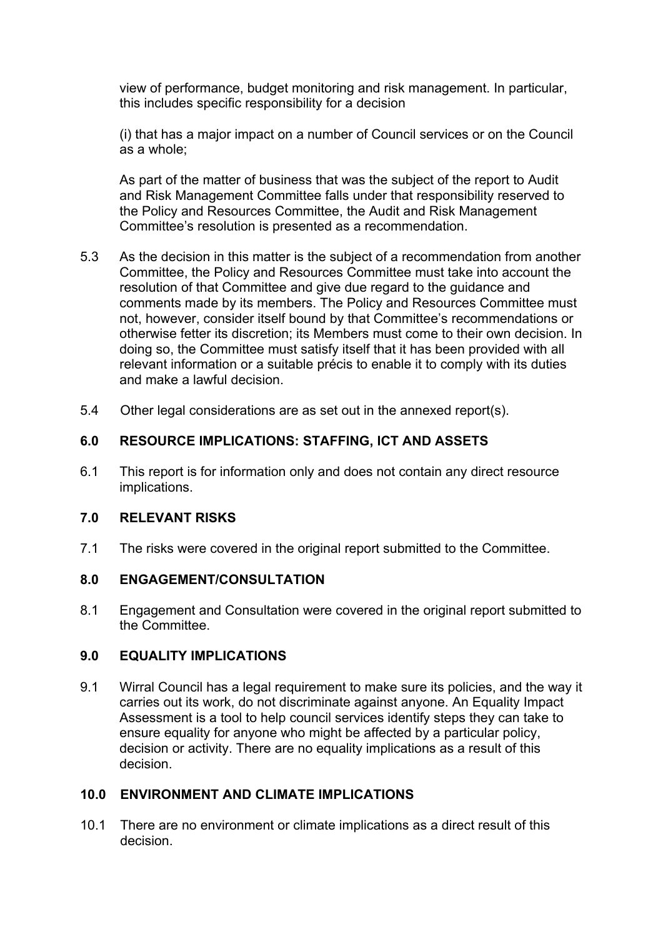view of performance, budget monitoring and risk management. In particular, this includes specific responsibility for a decision

(i) that has a major impact on a number of Council services or on the Council as a whole;

As part of the matter of business that was the subject of the report to Audit and Risk Management Committee falls under that responsibility reserved to the Policy and Resources Committee, the Audit and Risk Management Committee's resolution is presented as a recommendation.

- 5.3 As the decision in this matter is the subject of a recommendation from another Committee, the Policy and Resources Committee must take into account the resolution of that Committee and give due regard to the guidance and comments made by its members. The Policy and Resources Committee must not, however, consider itself bound by that Committee's recommendations or otherwise fetter its discretion; its Members must come to their own decision. In doing so, the Committee must satisfy itself that it has been provided with all relevant information or a suitable précis to enable it to comply with its duties and make a lawful decision.
- 5.4 Other legal considerations are as set out in the annexed report(s).

## **6.0 RESOURCE IMPLICATIONS: STAFFING, ICT AND ASSETS**

6.1 This report is for information only and does not contain any direct resource implications.

## **7.0 RELEVANT RISKS**

7.1 The risks were covered in the original report submitted to the Committee.

## **8.0 ENGAGEMENT/CONSULTATION**

8.1 Engagement and Consultation were covered in the original report submitted to the Committee.

## **9.0 EQUALITY IMPLICATIONS**

9.1 Wirral Council has a legal requirement to make sure its policies, and the way it carries out its work, do not discriminate against anyone. An Equality Impact Assessment is a tool to help council services identify steps they can take to ensure equality for anyone who might be affected by a particular policy, decision or activity. There are no equality implications as a result of this decision.

## **10.0 ENVIRONMENT AND CLIMATE IMPLICATIONS**

10.1 There are no environment or climate implications as a direct result of this decision.